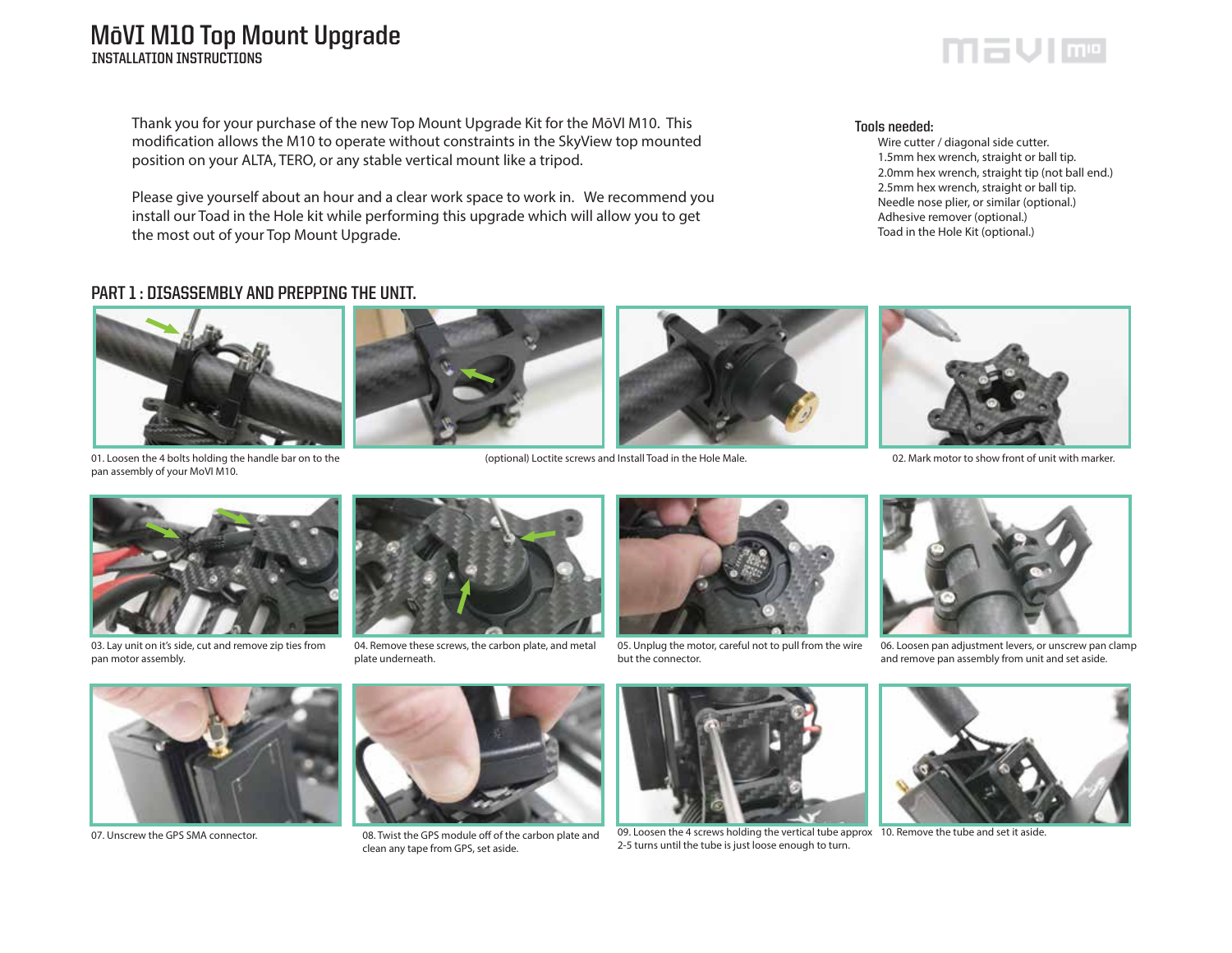# **MōVI M10 Top Mount Upgrade INSTALLATION INSTRUCTIONS**

Thank you for your purchase of the new Top Mount Upgrade Kit for the MōVI M10. This modification allows the M10 to operate without constraints in the SkyView top mounted position on your ALTA, TERO, or any stable vertical mount like a tripod.

Please give yourself about an hour and a clear work space to work in. We recommend you install our Toad in the Hole kit while performing this upgrade which will allow you to get the most out of your Top Mount Upgrade.

#### **Tools needed:**

 Wire cutter / diagonal side cutter. 1.5mm hex wrench, straight or ball tip. 2.0mm hex wrench, straight tip (not ball end.) 2.5mm hex wrench, straight or ball tip. Needle nose plier, or similar (optional.) Adhesive remover (optional.) Toad in the Hole Kit (optional.)

## **PART 1 : DISASSEMBLY AND PREPPING THE UNIT.**



01. Loosen the 4 bolts holding the handle bar on to the pan assembly of your MoVI M10.



(optional) Loctite screws and Install Toad in the Hole Male. 02. Mark motor to show front of unit with marker.





03. Lay unit on it's side, cut and remove zip ties from pan motor assembly.



04. Remove these screws, the carbon plate, and metal plate underneath.



05. Unplug the motor, careful not to pull from the wire but the connector.



06. Loosen pan adjustment levers, or unscrew pan clamp and remove pan assembly from unit and set aside.





07. Unscrew the GPS SMA connector. 08. Twist the GPS module off of the carbon plate and clean any tape from GPS, set aside.



09. Loosen the 4 screws holding the vertical tube approx 10. Remove the tube and set it aside. 2-5 turns until the tube is just loose enough to turn.



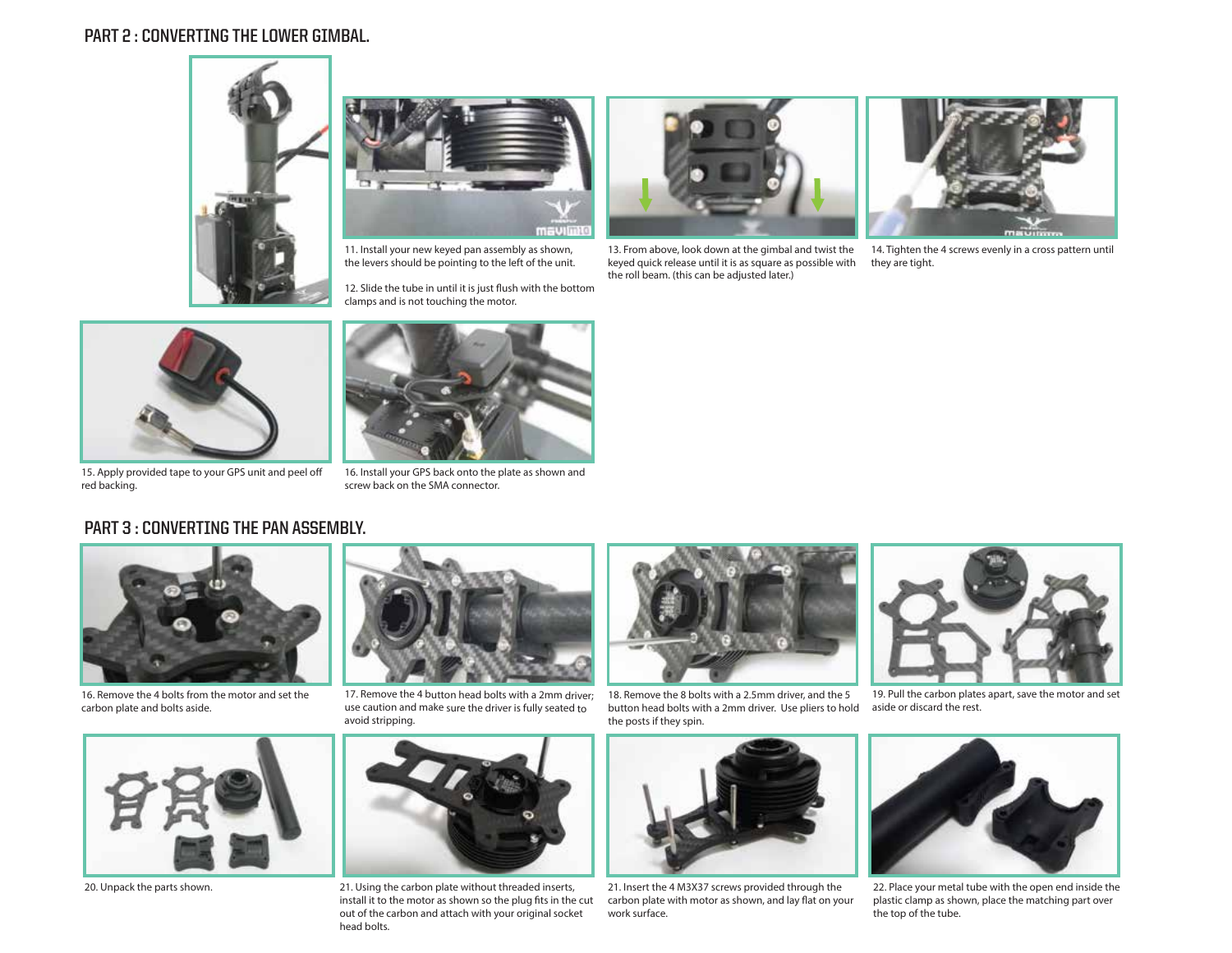## **PART 2 : CONVERTING THE LOWER GIMBAL.**





11. Install your new keyed pan assembly as shown, the levers should be pointing to the left of the unit.

12. Slide the tube in until it is just flush with the bottom clamps and is not touching the motor.



13. From above, look down at the gimbal and twist the keyed quick release until it is as square as possible with the roll beam. (this can be adjusted later.)



14. Tighten the 4 screws evenly in a cross pattern until they are tight.



15. Apply provided tape to your GPS unit and peel o red backing.



16. Install your GPS back onto the plate as shown and screw back on the SMA connector.

#### **PART 3 : CONVERTING THE PAN ASSEMBLY.**



16. Remove the 4 bolts from the motor and set the carbon plate and bolts aside.





17. Remove the 4 button head bolts with a 2mm driver; use caution and make sure the driver is fully seated to avoid stripping.



20. Unpack the parts shown. The same of the 21. Using the carbon plate without threaded inserts, 21. Insert the 4 M3X37 screws provided through the 20. install it to the motor as shown so the plug fits in the cut out of the carbon and attach with your original socket head bolts.



18. Remove the 8 bolts with a 2.5mm driver, and the 5 button head bolts with a 2mm driver. Use pliers to hold the posts if they spin.



carbon plate with motor as shown, and lay flat on your work surface.



19. Pull the carbon plates apart, save the motor and set aside or discard the rest.



22. Place your metal tube with the open end inside the plastic clamp as shown, place the matching part over the top of the tube.